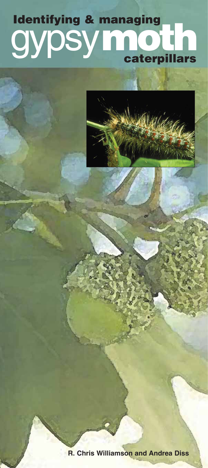# **gypsy caterpillars Identifying & managing**



**R. Chris Williamson and Andrea Diss**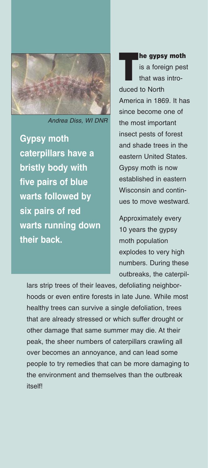

Andrea Diss, WI DNR

**Gypsy moth caterpillars have a bristly body with five pairs of blue warts followed by six pairs of red warts running down their back.** 

**The gypsy moth**<br>is a foreign pese<br>that was introis a foreign pest that was introduced to North America in 1869. It has since become one of the most important insect pests of forest and shade trees in the eastern United States. Gypsy moth is now established in eastern Wisconsin and continues to move westward.

Approximately every 10 years the gypsy moth population explodes to very high numbers. During these outbreaks, the caterpil-

lars strip trees of their leaves, defoliating neighborhoods or even entire forests in late June. While most healthy trees can survive a single defoliation, trees that are already stressed or which suffer drought or other damage that same summer may die. At their peak, the sheer numbers of caterpillars crawling all over becomes an annoyance, and can lead some people to try remedies that can be more damaging to the environment and themselves than the outbreak itself!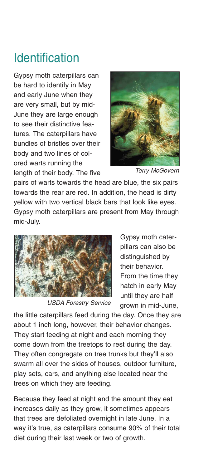## Identification

Gypsy moth caterpillars can be hard to identify in May and early June when they are very small, but by mid-June they are large enough to see their distinctive features. The caterpillars have bundles of bristles over their body and two lines of colored warts running the length of their body. The five



Terry McGovern

pairs of warts towards the head are blue, the six pairs towards the rear are red. In addition, the head is dirty yellow with two vertical black bars that look like eyes. Gypsy moth caterpillars are present from May through mid-July.



USDA Forestry Service

Gypsy moth caterpillars can also be distinguished by their behavior. From the time they hatch in early May until they are half grown in mid-June,

the little caterpillars feed during the day. Once they are about 1 inch long, however, their behavior changes. They start feeding at night and each morning they come down from the treetops to rest during the day. They often congregate on tree trunks but they'll also swarm all over the sides of houses, outdoor furniture, play sets, cars, and anything else located near the trees on which they are feeding.

Because they feed at night and the amount they eat increases daily as they grow, it sometimes appears that trees are defoliated overnight in late June. In a way it's true, as caterpillars consume 90% of their total diet during their last week or two of growth.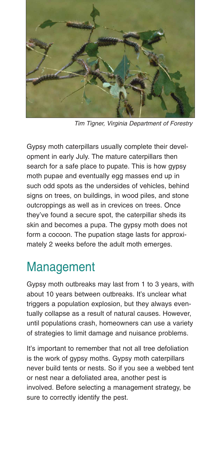

Tim Tigner, Virginia Department of Forestry

Gypsy moth caterpillars usually complete their development in early July. The mature caterpillars then search for a safe place to pupate. This is how gypsy moth pupae and eventually egg masses end up in such odd spots as the undersides of vehicles, behind signs on trees, on buildings, in wood piles, and stone outcroppings as well as in crevices on trees. Once they've found a secure spot, the caterpillar sheds its skin and becomes a pupa. The gypsy moth does not form a cocoon. The pupation stage lasts for approximately 2 weeks before the adult moth emerges.

### Management

Gypsy moth outbreaks may last from 1 to 3 years, with about 10 years between outbreaks. It's unclear what triggers a population explosion, but they always eventually collapse as a result of natural causes. However, until populations crash, homeowners can use a variety of strategies to limit damage and nuisance problems.

It's important to remember that not all tree defoliation is the work of gypsy moths. Gypsy moth caterpillars never build tents or nests. So if you see a webbed tent or nest near a defoliated area, another pest is involved. Before selecting a management strategy, be sure to correctly identify the pest.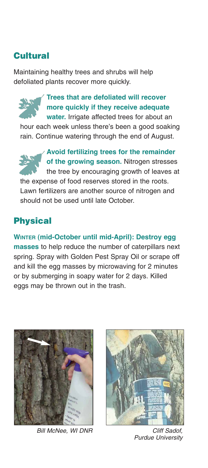#### **Cultural**

Maintaining healthy trees and shrubs will help defoliated plants recover more quickly.

### **Trees that are defoliated will recover more quickly if they receive adequate**

**water.** Irrigate affected trees for about an hour each week unless there's been a good soaking rain. Continue watering through the end of August.

**Avoid fertilizing trees for the remainder of the growing season.** Nitrogen stresses the tree by encouraging growth of leaves at the expense of food reserves stored in the roots. Lawn fertilizers are another source of nitrogen and should not be used until late October.

#### **Physical**

**WINTER (mid-October until mid-April): Destroy egg masses** to help reduce the number of caterpillars next spring. Spray with Golden Pest Spray Oil or scrape off and kill the egg masses by microwaving for 2 minutes or by submerging in soapy water for 2 days. Killed eggs may be thrown out in the trash.



Bill McNee, WI DNR



Cliff Sadof, Purdue University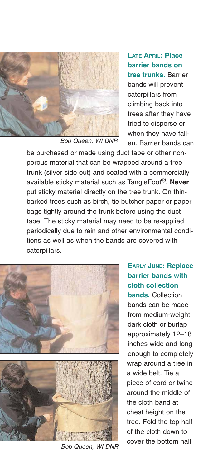

Bob Queen, WI DNR

**LATE APRIL: Place barrier bands on tree trunks.** Barrier bands will prevent caterpillars from climbing back into trees after they have tried to disperse or when they have fallen. Barrier bands can

be purchased or made using duct tape or other nonporous material that can be wrapped around a tree trunk (silver side out) and coated with a commercially available sticky material such as TangleFoot®. **Never** put sticky material directly on the tree trunk. On thinbarked trees such as birch, tie butcher paper or paper bags tightly around the trunk before using the duct tape. The sticky material may need to be re-applied periodically due to rain and other environmental conditions as well as when the bands are covered with caterpillars.



Bob Queen, WI DNR

**EARLY JUNE: Replace barrier bands with cloth collection bands.** Collection bands can be made from medium-weight dark cloth or burlap approximately 12–18 inches wide and long enough to completely wrap around a tree in a wide belt. Tie a piece of cord or twine around the middle of the cloth band at chest height on the tree. Fold the top half of the cloth down to cover the bottom half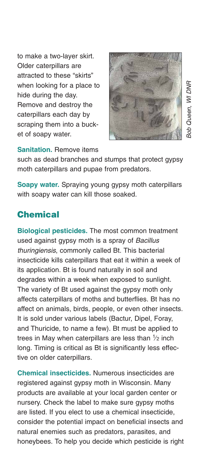to make a two-layer skirt. Older caterpillars are attracted to these "skirts" when looking for a place to hide during the day. Remove and destroy the caterpillars each day by scraping them into a bucket of soapy water.



**Sanitation.** Remove items

such as dead branches and stumps that protect gypsy moth caterpillars and pupae from predators.

**Soapy water.** Spraying young gypsy moth caterpillars with soapy water can kill those soaked.

#### **Chemical**

**Biological pesticides.** The most common treatment used against gypsy moth is a spray of Bacillus thuringiensis, commonly called Bt. This bacterial insecticide kills caterpillars that eat it within a week of its application. Bt is found naturally in soil and degrades within a week when exposed to sunlight. The variety of Bt used against the gypsy moth only affects caterpillars of moths and butterflies. Bt has no affect on animals, birds, people, or even other insects. It is sold under various labels (Bactur, Dipel, Foray, and Thuricide, to name a few). Bt must be applied to trees in May when caterpillars are less than  $1\!\!/_{\rm}$  inch long. Timing is critical as Bt is significantly less effective on older caterpillars.

**Chemical insecticides.** Numerous insecticides are registered against gypsy moth in Wisconsin. Many products are available at your local garden center or nursery. Check the label to make sure gypsy moths are listed. If you elect to use a chemical insecticide, consider the potential impact on beneficial insects and natural enemies such as predators, parasites, and honeybees. To help you decide which pesticide is right